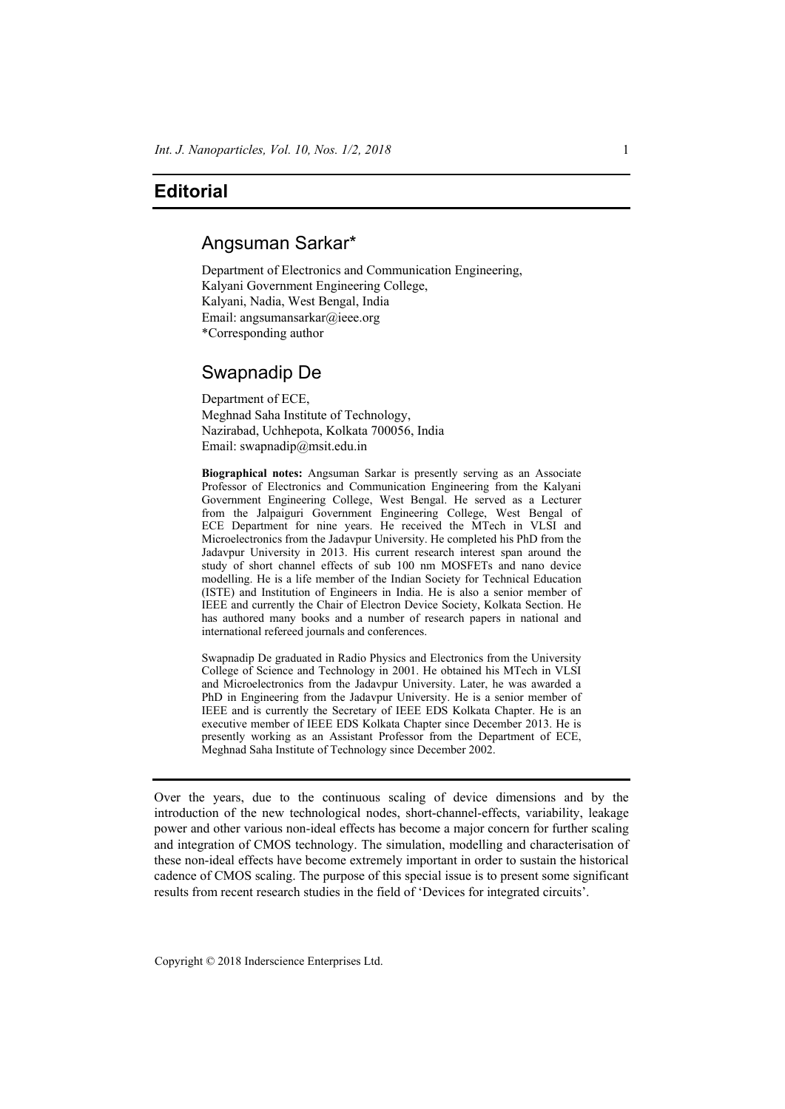## **Editorial**

## Angsuman Sarkar\*

Department of Electronics and Communication Engineering, Kalyani Government Engineering College, Kalyani, Nadia, West Bengal, India Email: angsumansarkar@ieee.org \*Corresponding author

## Swapnadip De

Department of ECE, Meghnad Saha Institute of Technology, Nazirabad, Uchhepota, Kolkata 700056, India Email: swapnadip@msit.edu.in

**Biographical notes:** Angsuman Sarkar is presently serving as an Associate Professor of Electronics and Communication Engineering from the Kalyani Government Engineering College, West Bengal. He served as a Lecturer from the Jalpaiguri Government Engineering College, West Bengal of ECE Department for nine years. He received the MTech in VLSI and Microelectronics from the Jadavpur University. He completed his PhD from the Jadavpur University in 2013. His current research interest span around the study of short channel effects of sub 100 nm MOSFETs and nano device modelling. He is a life member of the Indian Society for Technical Education (ISTE) and Institution of Engineers in India. He is also a senior member of IEEE and currently the Chair of Electron Device Society, Kolkata Section. He has authored many books and a number of research papers in national and international refereed journals and conferences.

Swapnadip De graduated in Radio Physics and Electronics from the University College of Science and Technology in 2001. He obtained his MTech in VLSI and Microelectronics from the Jadavpur University. Later, he was awarded a PhD in Engineering from the Jadavpur University. He is a senior member of IEEE and is currently the Secretary of IEEE EDS Kolkata Chapter. He is an executive member of IEEE EDS Kolkata Chapter since December 2013. He is presently working as an Assistant Professor from the Department of ECE, Meghnad Saha Institute of Technology since December 2002.

Over the years, due to the continuous scaling of device dimensions and by the introduction of the new technological nodes, short-channel-effects, variability, leakage power and other various non-ideal effects has become a major concern for further scaling and integration of CMOS technology. The simulation, modelling and characterisation of these non-ideal effects have become extremely important in order to sustain the historical cadence of CMOS scaling. The purpose of this special issue is to present some significant results from recent research studies in the field of 'Devices for integrated circuits'.